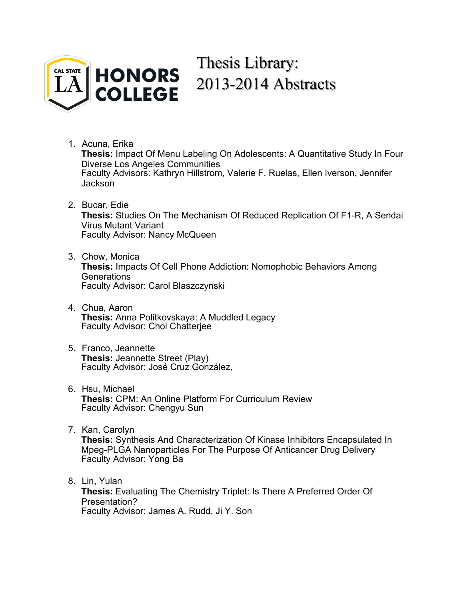

# Thesis Library: 2013-2014 Abstracts

1. [Acuna, Erika](#page-2-0)

**Thesis:** Impact Of Menu Labeling On Adolescents: A Quantitative Study In Four Diverse Los Angeles Communities Faculty Advisors: Kathryn Hillstrom, Valerie F. Ruelas, Ellen Iverson, Jennifer **Jackson** 

- 2. [Bucar, Edie](#page-4-0) **Thesis:** Studies On The Mechanism Of Reduced Replication Of F1-R, A Sendai Virus Mutant Variant Faculty Advisor: Nancy McQueen
- 3. [Chow, Monica](#page-6-0) **Thesis:** Impacts Of Cell Phone Addiction: Nomophobic Behaviors Among Generations Faculty Advisor: Carol Blaszczynski
- 4. [Chua, Aaron](#page-7-0) **Thesis:** Anna Politkovskaya: A Muddled Legacy Faculty Advisor: Choi Chatterjee
- 5. [Franco, Jeannette](#page-9-0) **Thesis:** Jeannette Street (Play) Faculty Advisor: José Cruz González,
- 6. [Hsu, Michael](#page-10-0) **Thesis:** CPM: An Online Platform For Curriculum Review Faculty Advisor: Chengyu Sun
- 7. [Kan, Carolyn](#page-11-0)

**Thesis:** Synthesis And Characterization Of Kinase Inhibitors Encapsulated In Mpeg-PLGA Nanoparticles For The Purpose Of Anticancer Drug Delivery Faculty Advisor: Yong Ba

8. [Lin, Yulan](#page-12-0)

**Thesis:** Evaluating The Chemistry Triplet: Is There A Preferred Order Of Presentation? Faculty Advisor: James A. Rudd, Ji Y. Son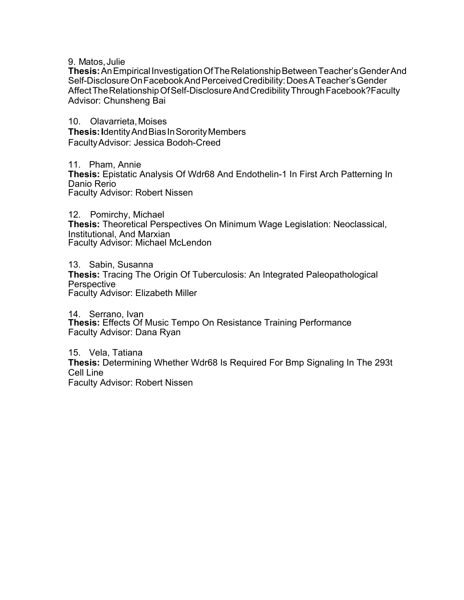9. [Matos, Julie](#page-13-0)

**Thesis:**An Empirical Investigation Of The Relationship Between Teacher's Gender And Self-Disclosure On Facebook And Perceived Credibility: Does A Teacher's Gender Affect The Relationship Of Self-Disclosure And Credibility Through Facebook?Faculty Advisor: Chunsheng Bai

10. [Olavarrieta, Moises](#page-14-0) **Thesis: I**dentity And Bias In Sorority Members Faculty Advisor: Jessica Bodoh-Creed

11. [Pham, Annie](#page-15-0) **Thesis:** Epistatic Analysis Of Wdr68 And Endothelin-1 In First Arch Patterning In Danio Rerio Faculty Advisor: Robert Nissen

12. [Pomirchy, Michael](#page-17-0) **Thesis:** Theoretical Perspectives On Minimum Wage Legislation: Neoclassical, Institutional, And Marxian Faculty Advisor: Michael McLendon

13. [Sabin, Susanna](#page-19-0) **Thesis:** Tracing The Origin Of Tuberculosis: An Integrated Paleopathological **Perspective** Faculty Advisor: Elizabeth Miller

14. [Serrano, Ivan](#page-22-0) **Thesis:** Effects Of Music Tempo On Resistance Training Performance Faculty Advisor: Dana Ryan

15. [Vela, Tatiana](#page-23-0) **Thesis:** Determining Whether Wdr68 Is Required For Bmp Signaling In The 293t Cell Line Faculty Advisor: Robert Nissen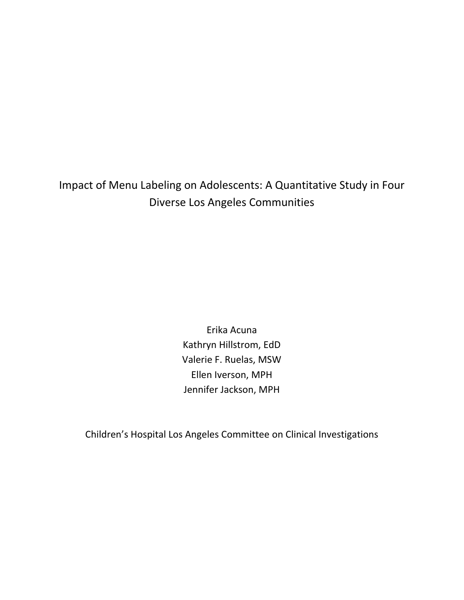<span id="page-2-0"></span>Impact of Menu Labeling on Adolescents: A Quantitative Study in Four Diverse Los Angeles Communities

> Erika Acuna Kathryn Hillstrom, EdD Valerie F. Ruelas, MSW Ellen Iverson, MPH Jennifer Jackson, MPH

Children's Hospital Los Angeles Committee on Clinical Investigations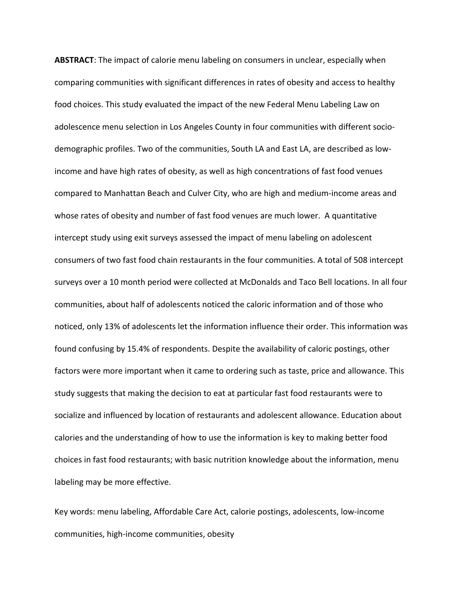**ABSTRACT**: The impact of calorie menu labeling on consumers in unclear, especially when comparing communities with significant differences in rates of obesity and access to healthy food choices. This study evaluated the impact of the new Federal Menu Labeling Law on adolescence menu selection in Los Angeles County in four communities with different sociodemographic profiles. Two of the communities, South LA and East LA, are described as lowincome and have high rates of obesity, as well as high concentrations of fast food venues compared to Manhattan Beach and Culver City, who are high and medium-income areas and whose rates of obesity and number of fast food venues are much lower. A quantitative intercept study using exit surveys assessed the impact of menu labeling on adolescent consumers of two fast food chain restaurants in the four communities. A total of 508 intercept surveys over a 10 month period were collected at McDonalds and Taco Bell locations. In all four communities, about half of adolescents noticed the caloric information and of those who noticed, only 13% of adolescents let the information influence their order. This information was found confusing by 15.4% of respondents. Despite the availability of caloric postings, other factors were more important when it came to ordering such as taste, price and allowance. This study suggests that making the decision to eat at particular fast food restaurants were to socialize and influenced by location of restaurants and adolescent allowance. Education about calories and the understanding of how to use the information is key to making better food choices in fast food restaurants; with basic nutrition knowledge about the information, menu labeling may be more effective.

Key words: menu labeling, Affordable Care Act, calorie postings, adolescents, low-income communities, high-income communities, obesity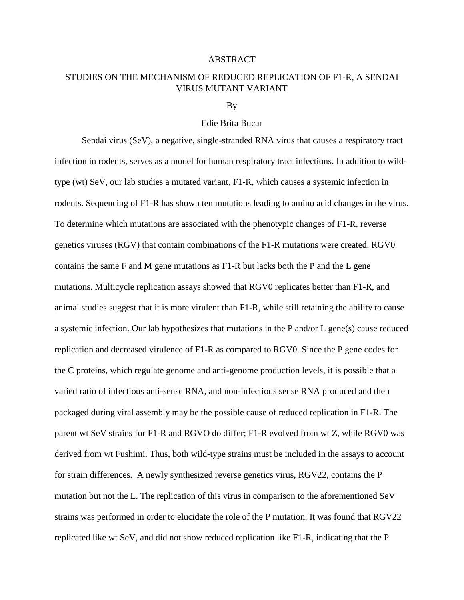# <span id="page-4-0"></span>STUDIES ON THE MECHANISM OF REDUCED REPLICATION OF F1-R, A SENDAI VIRUS MUTANT VARIANT

#### By

# Edie Brita Bucar

Sendai virus (SeV), a negative, single-stranded RNA virus that causes a respiratory tract infection in rodents, serves as a model for human respiratory tract infections. In addition to wildtype (wt) SeV, our lab studies a mutated variant, F1-R, which causes a systemic infection in rodents. Sequencing of F1-R has shown ten mutations leading to amino acid changes in the virus. To determine which mutations are associated with the phenotypic changes of F1-R, reverse genetics viruses (RGV) that contain combinations of the F1-R mutations were created. RGV0 contains the same F and M gene mutations as F1-R but lacks both the P and the L gene mutations. Multicycle replication assays showed that RGV0 replicates better than F1-R, and animal studies suggest that it is more virulent than F1-R, while still retaining the ability to cause a systemic infection. Our lab hypothesizes that mutations in the P and/or L gene(s) cause reduced replication and decreased virulence of F1-R as compared to RGV0. Since the P gene codes for the C proteins, which regulate genome and anti-genome production levels, it is possible that a varied ratio of infectious anti-sense RNA, and non-infectious sense RNA produced and then packaged during viral assembly may be the possible cause of reduced replication in F1-R. The parent wt SeV strains for F1-R and RGVO do differ; F1-R evolved from wt Z, while RGV0 was derived from wt Fushimi. Thus, both wild-type strains must be included in the assays to account for strain differences. A newly synthesized reverse genetics virus, RGV22, contains the P mutation but not the L. The replication of this virus in comparison to the aforementioned SeV strains was performed in order to elucidate the role of the P mutation. It was found that RGV22 replicated like wt SeV, and did not show reduced replication like F1-R, indicating that the P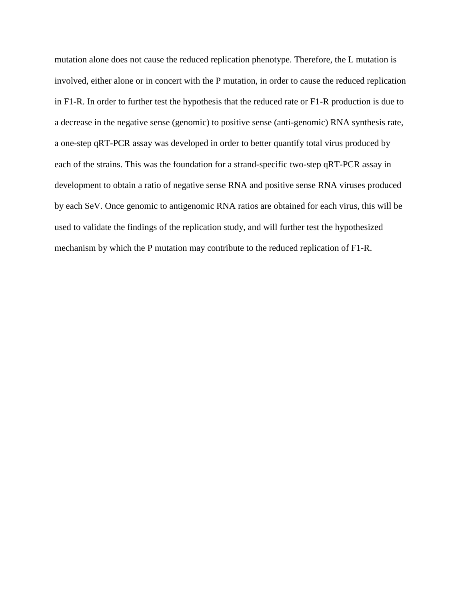mutation alone does not cause the reduced replication phenotype. Therefore, the L mutation is involved, either alone or in concert with the P mutation, in order to cause the reduced replication in F1-R. In order to further test the hypothesis that the reduced rate or F1-R production is due to a decrease in the negative sense (genomic) to positive sense (anti-genomic) RNA synthesis rate, a one-step qRT-PCR assay was developed in order to better quantify total virus produced by each of the strains. This was the foundation for a strand-specific two-step qRT-PCR assay in development to obtain a ratio of negative sense RNA and positive sense RNA viruses produced by each SeV. Once genomic to antigenomic RNA ratios are obtained for each virus, this will be used to validate the findings of the replication study, and will further test the hypothesized mechanism by which the P mutation may contribute to the reduced replication of F1-R.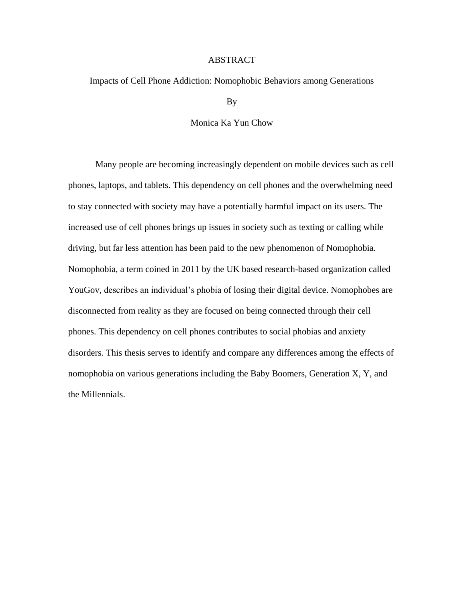<span id="page-6-0"></span>Impacts of Cell Phone Addiction: Nomophobic Behaviors among Generations

By

# Monica Ka Yun Chow

Many people are becoming increasingly dependent on mobile devices such as cell phones, laptops, and tablets. This dependency on cell phones and the overwhelming need to stay connected with society may have a potentially harmful impact on its users. The increased use of cell phones brings up issues in society such as texting or calling while driving, but far less attention has been paid to the new phenomenon of Nomophobia. Nomophobia, a term coined in 2011 by the UK based research-based organization called YouGov, describes an individual's phobia of losing their digital device. Nomophobes are disconnected from reality as they are focused on being connected through their cell phones. This dependency on cell phones contributes to social phobias and anxiety disorders. This thesis serves to identify and compare any differences among the effects of nomophobia on various generations including the Baby Boomers, Generation X, Y, and the Millennials.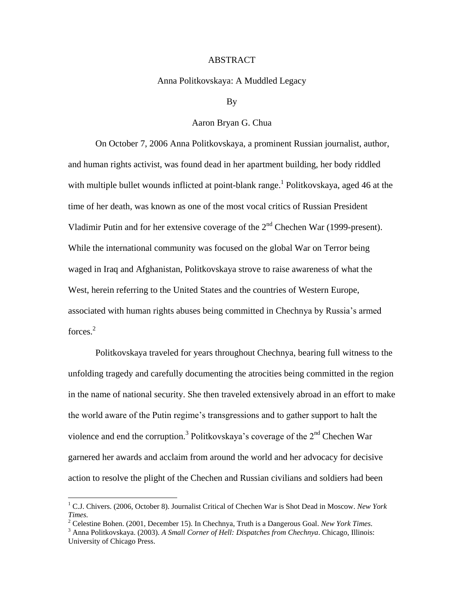# Anna Politkovskaya: A Muddled Legacy

#### By

# Aaron Bryan G. Chua

<span id="page-7-0"></span>On October 7, 2006 Anna Politkovskaya, a prominent Russian journalist, author, and human rights activist, was found dead in her apartment building, her body riddled with multiple bullet wounds inflicted at point-blank range.<sup>1</sup> Politkovskaya, aged 46 at the time of her death, was known as one of the most vocal critics of Russian President Vladimir Putin and for her extensive coverage of the  $2<sup>nd</sup>$  Chechen War (1999-present). While the international community was focused on the global War on Terror being waged in Iraq and Afghanistan, Politkovskaya strove to raise awareness of what the West, herein referring to the United States and the countries of Western Europe, associated with human rights abuses being committed in Chechnya by Russia's armed forces.<sup>2</sup>

Politkovskaya traveled for years throughout Chechnya, bearing full witness to the unfolding tragedy and carefully documenting the atrocities being committed in the region in the name of national security. She then traveled extensively abroad in an effort to make the world aware of the Putin regime's transgressions and to gather support to halt the violence and end the corruption.<sup>3</sup> Politkovskaya's coverage of the  $2<sup>nd</sup>$  Chechen War garnered her awards and acclaim from around the world and her advocacy for decisive action to resolve the plight of the Chechen and Russian civilians and soldiers had been

<sup>1</sup> C.J. Chivers. (2006, October 8). Journalist Critical of Chechen War is Shot Dead in Moscow. *New York Times.*

<sup>2</sup> Celestine Bohen. (2001, December 15). In Chechnya, Truth is a Dangerous Goal. *New York Times*.

<sup>3</sup> Anna Politkovskaya. (2003). *A Small Corner of Hell: Dispatches from Chechnya*. Chicago, Illinois: University of Chicago Press.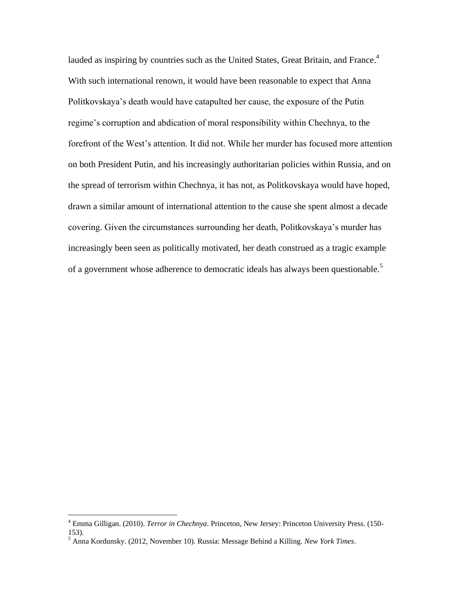lauded as inspiring by countries such as the United States, Great Britain, and France.<sup>4</sup> With such international renown, it would have been reasonable to expect that Anna Politkovskaya's death would have catapulted her cause, the exposure of the Putin regime's corruption and abdication of moral responsibility within Chechnya, to the forefront of the West's attention. It did not. While her murder has focused more attention on both President Putin, and his increasingly authoritarian policies within Russia, and on the spread of terrorism within Chechnya, it has not, as Politkovskaya would have hoped, drawn a similar amount of international attention to the cause she spent almost a decade covering. Given the circumstances surrounding her death, Politkovskaya's murder has increasingly been seen as politically motivated, her death construed as a tragic example of a government whose adherence to democratic ideals has always been questionable.<sup>5</sup>

<sup>4</sup> Emma Gilligan. (2010). *Terror in Chechnya*. Princeton, New Jersey: Princeton University Press. (150- 153).

<sup>5</sup> Anna Kordunsky. (2012, November 10). Russia: Message Behind a Killing. *New York Times*.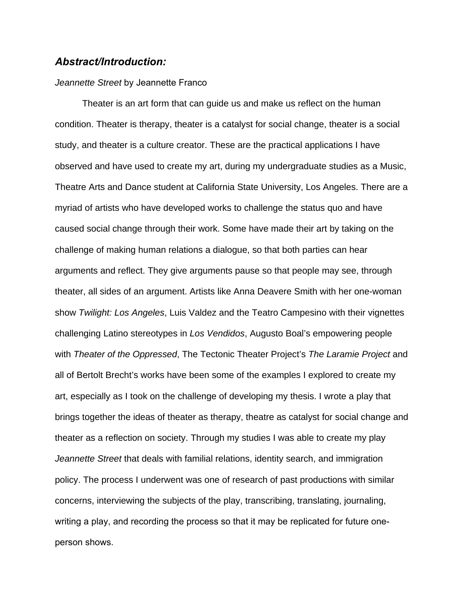# <span id="page-9-0"></span>*Abstract/Introduction:*

# *Jeannette Street* by Jeannette Franco

Theater is an art form that can guide us and make us reflect on the human condition. Theater is therapy, theater is a catalyst for social change, theater is a social study, and theater is a culture creator. These are the practical applications I have observed and have used to create my art, during my undergraduate studies as a Music, Theatre Arts and Dance student at California State University, Los Angeles. There are a myriad of artists who have developed works to challenge the status quo and have caused social change through their work. Some have made their art by taking on the challenge of making human relations a dialogue, so that both parties can hear arguments and reflect. They give arguments pause so that people may see, through theater, all sides of an argument. Artists like Anna Deavere Smith with her one-woman show *Twilight: Los Angeles*, Luis Valdez and the Teatro Campesino with their vignettes challenging Latino stereotypes in *Los Vendidos*, Augusto Boal's empowering people with *Theater of the Oppressed*, The Tectonic Theater Project's *The Laramie Project* and all of Bertolt Brecht's works have been some of the examples I explored to create my art, especially as I took on the challenge of developing my thesis. I wrote a play that brings together the ideas of theater as therapy, theatre as catalyst for social change and theater as a reflection on society. Through my studies I was able to create my play *Jeannette Street* that deals with familial relations, identity search, and immigration policy. The process I underwent was one of research of past productions with similar concerns, interviewing the subjects of the play, transcribing, translating, journaling, writing a play, and recording the process so that it may be replicated for future oneperson shows.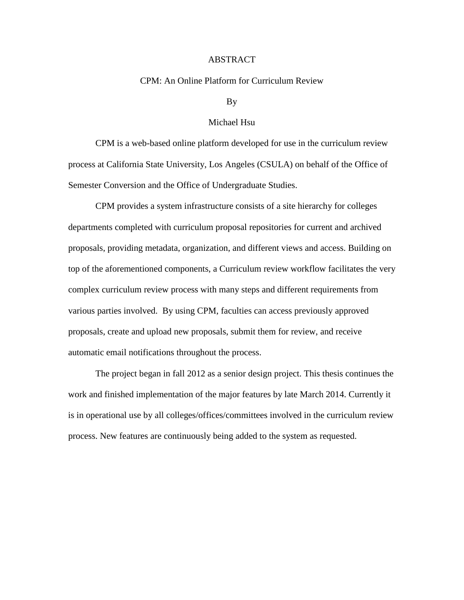# CPM: An Online Platform for Curriculum Review

#### By

## Michael Hsu

<span id="page-10-0"></span>CPM is a web-based online platform developed for use in the curriculum review process at California State University, Los Angeles (CSULA) on behalf of the Office of Semester Conversion and the Office of Undergraduate Studies.

CPM provides a system infrastructure consists of a site hierarchy for colleges departments completed with curriculum proposal repositories for current and archived proposals, providing metadata, organization, and different views and access. Building on top of the aforementioned components, a Curriculum review workflow facilitates the very complex curriculum review process with many steps and different requirements from various parties involved. By using CPM, faculties can access previously approved proposals, create and upload new proposals, submit them for review, and receive automatic email notifications throughout the process.

The project began in fall 2012 as a senior design project. This thesis continues the work and finished implementation of the major features by late March 2014. Currently it is in operational use by all colleges/offices/committees involved in the curriculum review process. New features are continuously being added to the system as requested.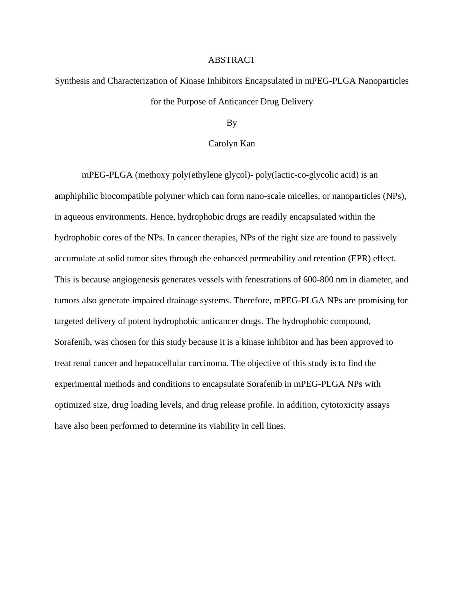# <span id="page-11-0"></span>Synthesis and Characterization of Kinase Inhibitors Encapsulated in mPEG-PLGA Nanoparticles for the Purpose of Anticancer Drug Delivery

By

# Carolyn Kan

mPEG-PLGA (methoxy poly(ethylene glycol)- poly(lactic-co-glycolic acid) is an amphiphilic biocompatible polymer which can form nano-scale micelles, or nanoparticles (NPs), in aqueous environments. Hence, hydrophobic drugs are readily encapsulated within the hydrophobic cores of the NPs. In cancer therapies, NPs of the right size are found to passively accumulate at solid tumor sites through the enhanced permeability and retention (EPR) effect. This is because angiogenesis generates vessels with fenestrations of 600-800 nm in diameter, and tumors also generate impaired drainage systems. Therefore, mPEG-PLGA NPs are promising for targeted delivery of potent hydrophobic anticancer drugs. The hydrophobic compound, Sorafenib, was chosen for this study because it is a kinase inhibitor and has been approved to treat renal cancer and hepatocellular carcinoma. The objective of this study is to find the experimental methods and conditions to encapsulate Sorafenib in mPEG-PLGA NPs with optimized size, drug loading levels, and drug release profile. In addition, cytotoxicity assays have also been performed to determine its viability in cell lines.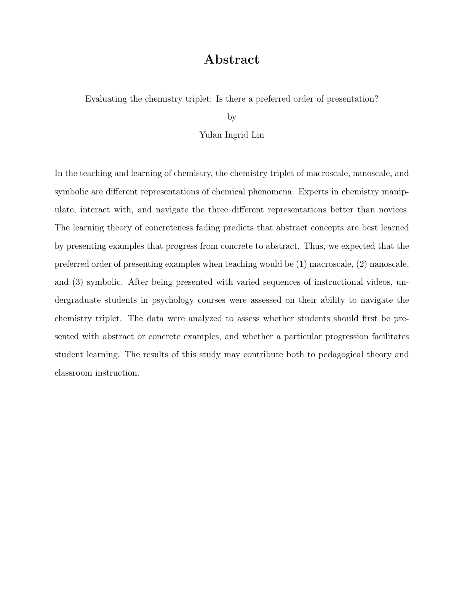# Abstract

<span id="page-12-0"></span>Evaluating the chemistry triplet: Is there a preferred order of presentation?

by

#### Yulan Ingrid Lin

In the teaching and learning of chemistry, the chemistry triplet of macroscale, nanoscale, and symbolic are different representations of chemical phenomena. Experts in chemistry manipulate, interact with, and navigate the three different representations better than novices. The learning theory of concreteness fading predicts that abstract concepts are best learned by presenting examples that progress from concrete to abstract. Thus, we expected that the preferred order of presenting examples when teaching would be (1) macroscale, (2) nanoscale, and (3) symbolic. After being presented with varied sequences of instructional videos, undergraduate students in psychology courses were assessed on their ability to navigate the chemistry triplet. The data were analyzed to assess whether students should first be presented with abstract or concrete examples, and whether a particular progression facilitates student learning. The results of this study may contribute both to pedagogical theory and classroom instruction.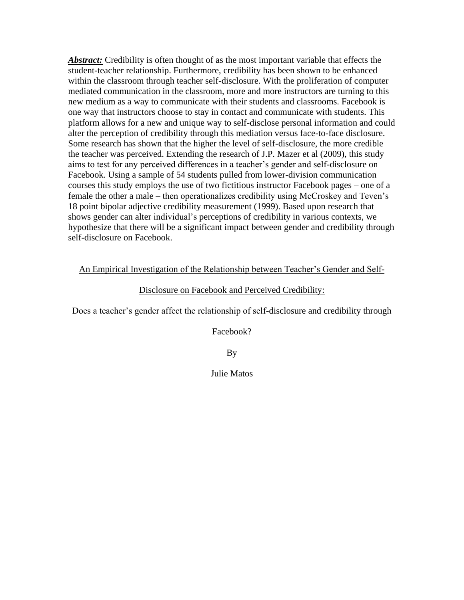<span id="page-13-0"></span>*Abstract:* Credibility is often thought of as the most important variable that effects the student-teacher relationship. Furthermore, credibility has been shown to be enhanced within the classroom through teacher self-disclosure. With the proliferation of computer mediated communication in the classroom, more and more instructors are turning to this new medium as a way to communicate with their students and classrooms. Facebook is one way that instructors choose to stay in contact and communicate with students. This platform allows for a new and unique way to self-disclose personal information and could alter the perception of credibility through this mediation versus face-to-face disclosure. Some research has shown that the higher the level of self-disclosure, the more credible the teacher was perceived. Extending the research of J.P. Mazer et al (2009), this study aims to test for any perceived differences in a teacher's gender and self-disclosure on Facebook. Using a sample of 54 students pulled from lower-division communication courses this study employs the use of two fictitious instructor Facebook pages – one of a female the other a male – then operationalizes credibility using McCroskey and Teven's 18 point bipolar adjective credibility measurement (1999). Based upon research that shows gender can alter individual's perceptions of credibility in various contexts, we hypothesize that there will be a significant impact between gender and credibility through self-disclosure on Facebook.

An Empirical Investigation of the Relationship between Teacher's Gender and Self-

# Disclosure on Facebook and Perceived Credibility:

Does a teacher's gender affect the relationship of self-disclosure and credibility through

Facebook?

By

Julie Matos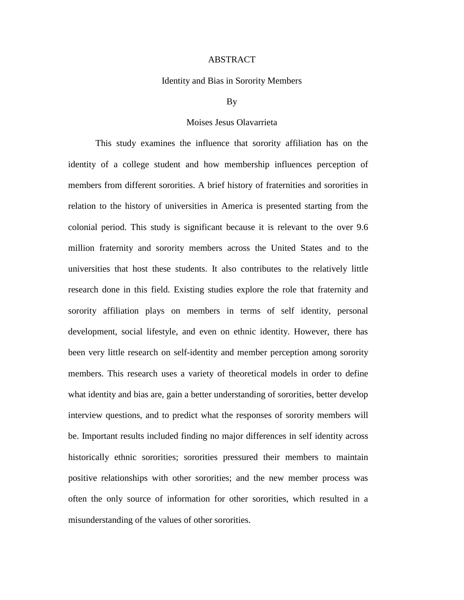# Identity and Bias in Sorority Members

# By

# Moises Jesus Olavarrieta

<span id="page-14-0"></span>This study examines the influence that sorority affiliation has on the identity of a college student and how membership influences perception of members from different sororities. A brief history of fraternities and sororities in relation to the history of universities in America is presented starting from the colonial period. This study is significant because it is relevant to the over 9.6 million fraternity and sorority members across the United States and to the universities that host these students. It also contributes to the relatively little research done in this field. Existing studies explore the role that fraternity and sorority affiliation plays on members in terms of self identity, personal development, social lifestyle, and even on ethnic identity. However, there has been very little research on self-identity and member perception among sorority members. This research uses a variety of theoretical models in order to define what identity and bias are, gain a better understanding of sororities, better develop interview questions, and to predict what the responses of sorority members will be. Important results included finding no major differences in self identity across historically ethnic sororities; sororities pressured their members to maintain positive relationships with other sororities; and the new member process was often the only source of information for other sororities, which resulted in a misunderstanding of the values of other sororities.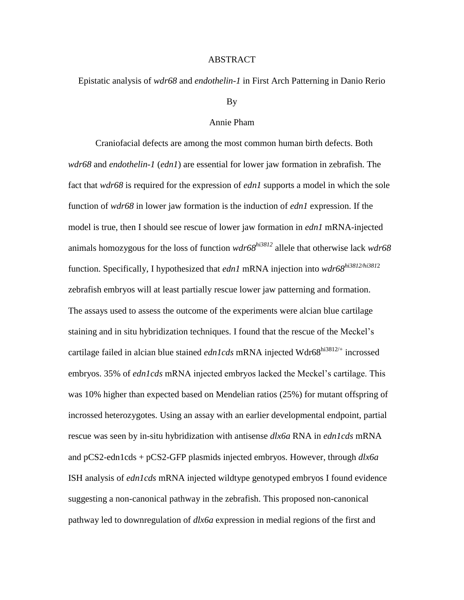<span id="page-15-0"></span>Epistatic analysis of *wdr68* and *endothelin-1* in First Arch Patterning in Danio Rerio

# By

# Annie Pham

Craniofacial defects are among the most common human birth defects. Both *wdr68* and *endothelin-1* (*edn1*) are essential for lower jaw formation in zebrafish. The fact that *wdr68* is required for the expression of *edn1* supports a model in which the sole function of *wdr68* in lower jaw formation is the induction of *edn1* expression. If the model is true, then I should see rescue of lower jaw formation in *edn1* mRNA-injected animals homozygous for the loss of function *wdr68hi3812* allele that otherwise lack *wdr68* function. Specifically, I hypothesized that *edn1* mRNA injection into *wdr68hi3812/hi381*<sup>2</sup> zebrafish embryos will at least partially rescue lower jaw patterning and formation. The assays used to assess the outcome of the experiments were alcian blue cartilage staining and in situ hybridization techniques. I found that the rescue of the Meckel's cartilage failed in alcian blue stained *edn1cds* mRNA injected Wdr68<sup>hi3812/+</sup> incrossed embryos. 35% of *edn1cds* mRNA injected embryos lacked the Meckel's cartilage. This was 10% higher than expected based on Mendelian ratios (25%) for mutant offspring of incrossed heterozygotes. Using an assay with an earlier developmental endpoint, partial rescue was seen by in-situ hybridization with antisense *dlx6a* RNA in *edn1cds* mRNA and pCS2-edn1cds + pCS2-GFP plasmids injected embryos. However, through *dlx6a*  ISH analysis of *edn1cds* mRNA injected wildtype genotyped embryos I found evidence suggesting a non-canonical pathway in the zebrafish. This proposed non-canonical pathway led to downregulation of *dlx6a* expression in medial regions of the first and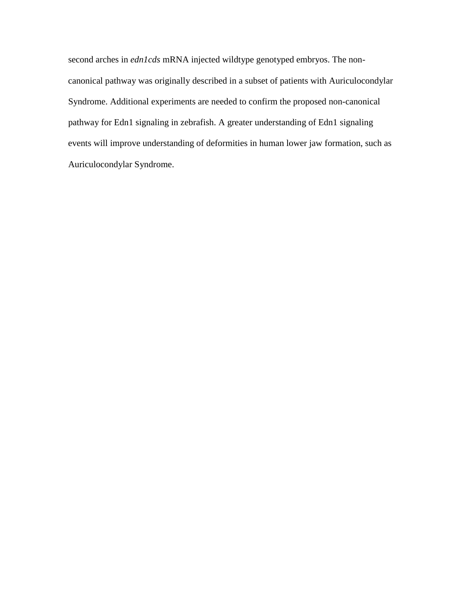second arches in *edn1cds* mRNA injected wildtype genotyped embryos. The noncanonical pathway was originally described in a subset of patients with Auriculocondylar Syndrome. Additional experiments are needed to confirm the proposed non-canonical pathway for Edn1 signaling in zebrafish. A greater understanding of Edn1 signaling events will improve understanding of deformities in human lower jaw formation, such as Auriculocondylar Syndrome.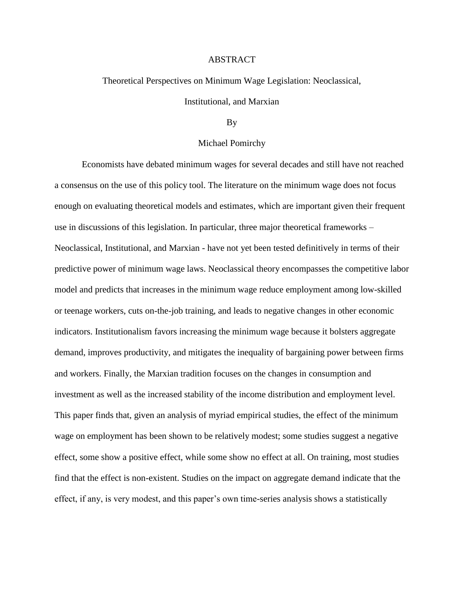<span id="page-17-0"></span>Theoretical Perspectives on Minimum Wage Legislation: Neoclassical,

Institutional, and Marxian

# By

#### Michael Pomirchy

Economists have debated minimum wages for several decades and still have not reached a consensus on the use of this policy tool. The literature on the minimum wage does not focus enough on evaluating theoretical models and estimates, which are important given their frequent use in discussions of this legislation. In particular, three major theoretical frameworks – Neoclassical, Institutional, and Marxian - have not yet been tested definitively in terms of their predictive power of minimum wage laws. Neoclassical theory encompasses the competitive labor model and predicts that increases in the minimum wage reduce employment among low-skilled or teenage workers, cuts on-the-job training, and leads to negative changes in other economic indicators. Institutionalism favors increasing the minimum wage because it bolsters aggregate demand, improves productivity, and mitigates the inequality of bargaining power between firms and workers. Finally, the Marxian tradition focuses on the changes in consumption and investment as well as the increased stability of the income distribution and employment level. This paper finds that, given an analysis of myriad empirical studies, the effect of the minimum wage on employment has been shown to be relatively modest; some studies suggest a negative effect, some show a positive effect, while some show no effect at all. On training, most studies find that the effect is non-existent. Studies on the impact on aggregate demand indicate that the effect, if any, is very modest, and this paper's own time-series analysis shows a statistically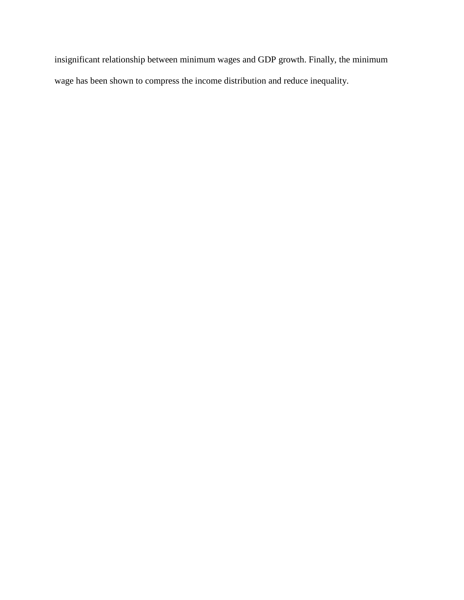insignificant relationship between minimum wages and GDP growth. Finally, the minimum wage has been shown to compress the income distribution and reduce inequality.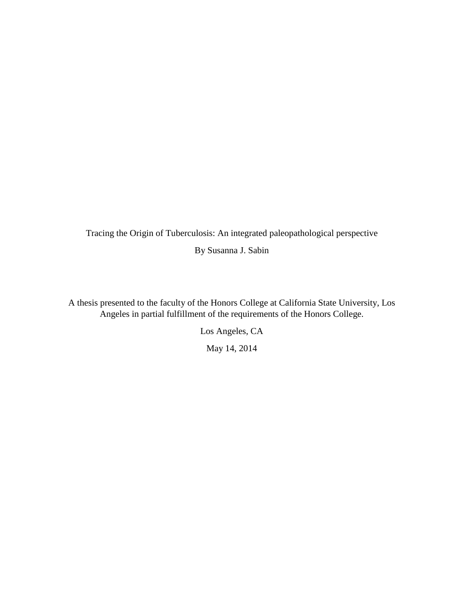<span id="page-19-0"></span>Tracing the Origin of Tuberculosis: An integrated paleopathological perspective By Susanna J. Sabin

A thesis presented to the faculty of the Honors College at California State University, Los Angeles in partial fulfillment of the requirements of the Honors College.

Los Angeles, CA

May 14, 2014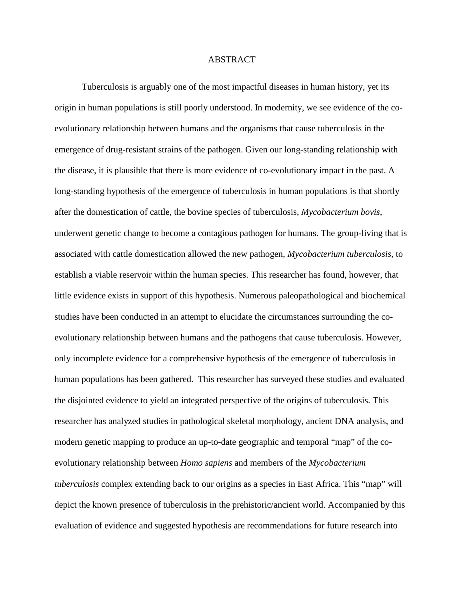Tuberculosis is arguably one of the most impactful diseases in human history, yet its origin in human populations is still poorly understood. In modernity, we see evidence of the coevolutionary relationship between humans and the organisms that cause tuberculosis in the emergence of drug-resistant strains of the pathogen. Given our long-standing relationship with the disease, it is plausible that there is more evidence of co-evolutionary impact in the past. A long-standing hypothesis of the emergence of tuberculosis in human populations is that shortly after the domestication of cattle, the bovine species of tuberculosis, *Mycobacterium bovis,*  underwent genetic change to become a contagious pathogen for humans. The group-living that is associated with cattle domestication allowed the new pathogen, *Mycobacterium tuberculosis,* to establish a viable reservoir within the human species. This researcher has found, however, that little evidence exists in support of this hypothesis. Numerous paleopathological and biochemical studies have been conducted in an attempt to elucidate the circumstances surrounding the coevolutionary relationship between humans and the pathogens that cause tuberculosis. However, only incomplete evidence for a comprehensive hypothesis of the emergence of tuberculosis in human populations has been gathered. This researcher has surveyed these studies and evaluated the disjointed evidence to yield an integrated perspective of the origins of tuberculosis. This researcher has analyzed studies in pathological skeletal morphology, ancient DNA analysis, and modern genetic mapping to produce an up-to-date geographic and temporal "map" of the coevolutionary relationship between *Homo sapiens* and members of the *Mycobacterium tuberculosis* complex extending back to our origins as a species in East Africa. This "map" will depict the known presence of tuberculosis in the prehistoric/ancient world. Accompanied by this evaluation of evidence and suggested hypothesis are recommendations for future research into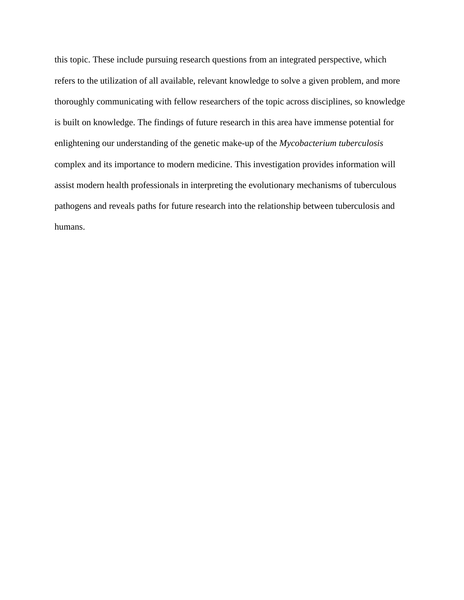this topic. These include pursuing research questions from an integrated perspective, which refers to the utilization of all available, relevant knowledge to solve a given problem, and more thoroughly communicating with fellow researchers of the topic across disciplines, so knowledge is built on knowledge. The findings of future research in this area have immense potential for enlightening our understanding of the genetic make-up of the *Mycobacterium tuberculosis*  complex and its importance to modern medicine. This investigation provides information will assist modern health professionals in interpreting the evolutionary mechanisms of tuberculous pathogens and reveals paths for future research into the relationship between tuberculosis and humans.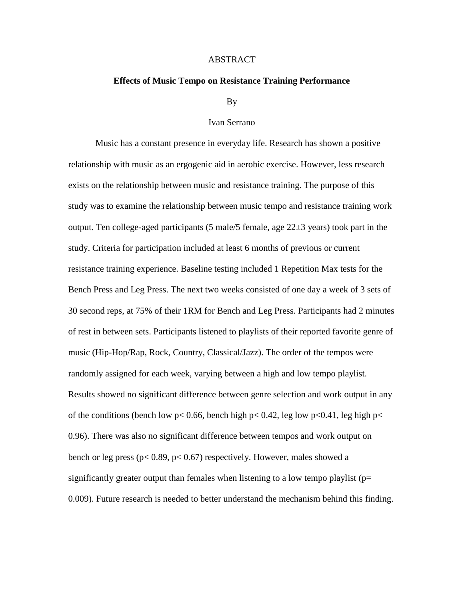# <span id="page-22-0"></span>**Effects of Music Tempo on Resistance Training Performance**

#### By

## Ivan Serrano

Music has a constant presence in everyday life. Research has shown a positive relationship with music as an ergogenic aid in aerobic exercise. However, less research exists on the relationship between music and resistance training. The purpose of this study was to examine the relationship between music tempo and resistance training work output. Ten college-aged participants (5 male/5 female, age  $22\pm3$  years) took part in the study. Criteria for participation included at least 6 months of previous or current resistance training experience. Baseline testing included 1 Repetition Max tests for the Bench Press and Leg Press. The next two weeks consisted of one day a week of 3 sets of 30 second reps, at 75% of their 1RM for Bench and Leg Press. Participants had 2 minutes of rest in between sets. Participants listened to playlists of their reported favorite genre of music (Hip-Hop/Rap, Rock, Country, Classical/Jazz). The order of the tempos were randomly assigned for each week, varying between a high and low tempo playlist. Results showed no significant difference between genre selection and work output in any of the conditions (bench low  $p < 0.66$ , bench high  $p < 0.42$ , leg low  $p < 0.41$ , leg high  $p <$ 0.96). There was also no significant difference between tempos and work output on bench or leg press (p< 0.89, p< 0.67) respectively. However, males showed a significantly greater output than females when listening to a low tempo playlist ( $p=$ 0.009). Future research is needed to better understand the mechanism behind this finding.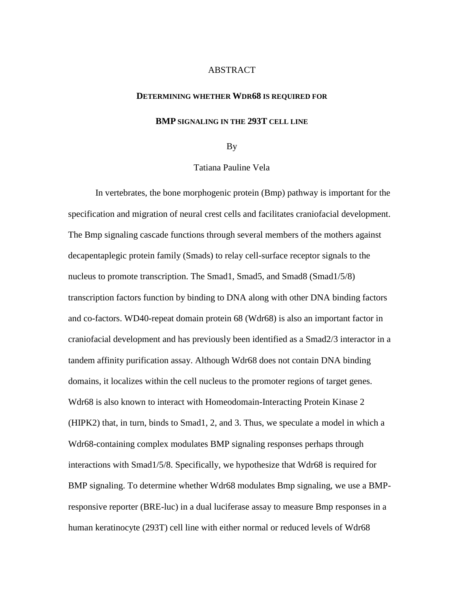# <span id="page-23-0"></span>**DETERMINING WHETHER WDR68 IS REQUIRED FOR**

# **BMP SIGNALING IN THE 293T CELL LINE**

#### By

# Tatiana Pauline Vela

In vertebrates, the bone morphogenic protein (Bmp) pathway is important for the specification and migration of neural crest cells and facilitates craniofacial development. The Bmp signaling cascade functions through several members of the mothers against decapentaplegic protein family (Smads) to relay cell-surface receptor signals to the nucleus to promote transcription. The Smad1, Smad5, and Smad8 (Smad1/5/8) transcription factors function by binding to DNA along with other DNA binding factors and co-factors. WD40-repeat domain protein 68 (Wdr68) is also an important factor in craniofacial development and has previously been identified as a Smad2/3 interactor in a tandem affinity purification assay. Although Wdr68 does not contain DNA binding domains, it localizes within the cell nucleus to the promoter regions of target genes. Wdr68 is also known to interact with Homeodomain-Interacting Protein Kinase 2 (HIPK2) that, in turn, binds to Smad1, 2, and 3. Thus, we speculate a model in which a Wdr68-containing complex modulates BMP signaling responses perhaps through interactions with Smad1/5/8. Specifically, we hypothesize that Wdr68 is required for BMP signaling. To determine whether Wdr68 modulates Bmp signaling, we use a BMPresponsive reporter (BRE-luc) in a dual luciferase assay to measure Bmp responses in a human keratinocyte (293T) cell line with either normal or reduced levels of Wdr68